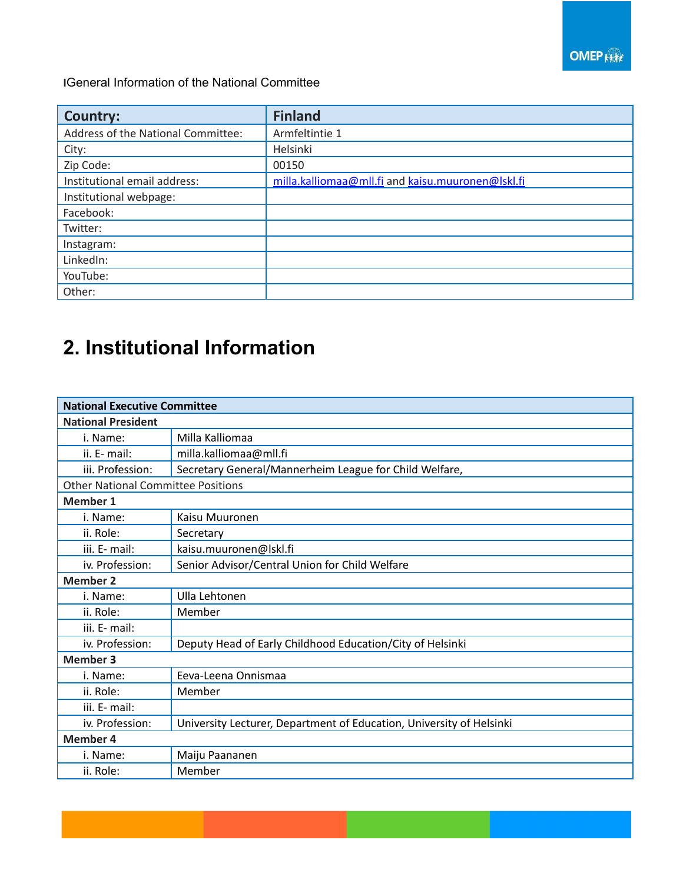

**I**General Information of the National Committee

| <b>Country:</b>                    | <b>Finland</b>                                    |
|------------------------------------|---------------------------------------------------|
| Address of the National Committee: | Armfeltintie 1                                    |
| City:                              | Helsinki                                          |
| Zip Code:                          | 00150                                             |
| Institutional email address:       | milla.kalliomaa@mll.fi and kaisu.muuronen@lskl.fi |
| Institutional webpage:             |                                                   |
| Facebook:                          |                                                   |
| Twitter:                           |                                                   |
| Instagram:                         |                                                   |
| LinkedIn:                          |                                                   |
| YouTube:                           |                                                   |
| Other:                             |                                                   |

## **2. Institutional Information**

| <b>National Executive Committee</b>       |                                                                      |  |
|-------------------------------------------|----------------------------------------------------------------------|--|
| <b>National President</b>                 |                                                                      |  |
| i. Name:                                  | Milla Kalliomaa                                                      |  |
| ii. E- mail:                              | milla.kalliomaa@mll.fi                                               |  |
| iii. Profession:                          | Secretary General/Mannerheim League for Child Welfare,               |  |
| <b>Other National Committee Positions</b> |                                                                      |  |
| <b>Member 1</b>                           |                                                                      |  |
| i. Name:                                  | Kaisu Muuronen                                                       |  |
| ii. Role:                                 | Secretary                                                            |  |
| iii. E- mail:                             | kaisu.muuronen@lskl.fi                                               |  |
| iv. Profession:                           | Senior Advisor/Central Union for Child Welfare                       |  |
| <b>Member 2</b>                           |                                                                      |  |
| i. Name:                                  | Ulla Lehtonen                                                        |  |
| ii. Role:                                 | Member                                                               |  |
| iii. E- mail:                             |                                                                      |  |
| iv. Profession:                           | Deputy Head of Early Childhood Education/City of Helsinki            |  |
| <b>Member 3</b>                           |                                                                      |  |
| i. Name:                                  | Eeva-Leena Onnismaa                                                  |  |
| ii. Role:                                 | Member                                                               |  |
| iii. E- mail:                             |                                                                      |  |
| iv. Profession:                           | University Lecturer, Department of Education, University of Helsinki |  |
| <b>Member 4</b>                           |                                                                      |  |
| i. Name:                                  | Maiju Paananen                                                       |  |
| ii. Role:                                 | Member                                                               |  |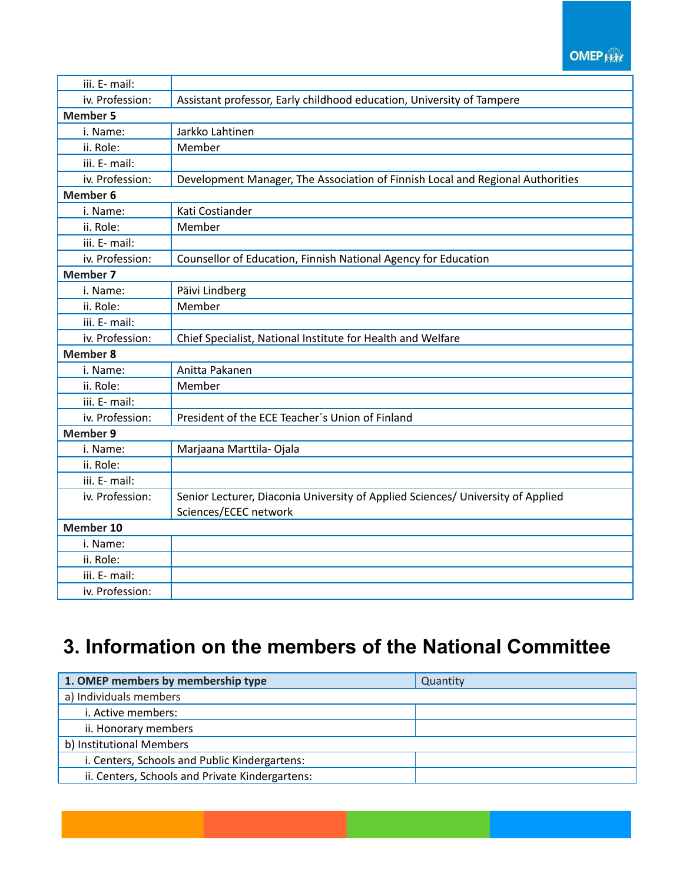## **OMEP Kitt**

| iii. E- mail:   |                                                                                 |  |  |
|-----------------|---------------------------------------------------------------------------------|--|--|
| iv. Profession: | Assistant professor, Early childhood education, University of Tampere           |  |  |
| <b>Member 5</b> |                                                                                 |  |  |
| i. Name:        | Jarkko Lahtinen                                                                 |  |  |
| ii. Role:       | Member                                                                          |  |  |
| iii. E- mail:   |                                                                                 |  |  |
| iv. Profession: | Development Manager, The Association of Finnish Local and Regional Authorities  |  |  |
| <b>Member 6</b> |                                                                                 |  |  |
| i. Name:        | Kati Costiander                                                                 |  |  |
| ii. Role:       | Member                                                                          |  |  |
| iii. E- mail:   |                                                                                 |  |  |
| iv. Profession: | Counsellor of Education, Finnish National Agency for Education                  |  |  |
| <b>Member 7</b> |                                                                                 |  |  |
| i. Name:        | Päivi Lindberg                                                                  |  |  |
| ii. Role:       | Member                                                                          |  |  |
| iii. E- mail:   |                                                                                 |  |  |
| iv. Profession: | Chief Specialist, National Institute for Health and Welfare                     |  |  |
| <b>Member 8</b> |                                                                                 |  |  |
| i. Name:        | Anitta Pakanen                                                                  |  |  |
| ii. Role:       | Member                                                                          |  |  |
| iii. E- mail:   |                                                                                 |  |  |
| iv. Profession: | President of the ECE Teacher's Union of Finland                                 |  |  |
| <b>Member 9</b> |                                                                                 |  |  |
| i. Name:        | Marjaana Marttila- Ojala                                                        |  |  |
| ii. Role:       |                                                                                 |  |  |
| iii. E- mail:   |                                                                                 |  |  |
| iv. Profession: | Senior Lecturer, Diaconia University of Applied Sciences/ University of Applied |  |  |
|                 | Sciences/ECEC network                                                           |  |  |
| Member 10       |                                                                                 |  |  |
| i. Name:        |                                                                                 |  |  |
| ii. Role:       |                                                                                 |  |  |
| iii. E- mail:   |                                                                                 |  |  |
| iv. Profession: |                                                                                 |  |  |

## **3. Information on the members of the National Committee**

| 1. OMEP members by membership type              | Quantity |  |
|-------------------------------------------------|----------|--|
| a) Individuals members                          |          |  |
| i. Active members:                              |          |  |
| ii. Honorary members                            |          |  |
| b) Institutional Members                        |          |  |
| i. Centers, Schools and Public Kindergartens:   |          |  |
| ii. Centers, Schools and Private Kindergartens: |          |  |